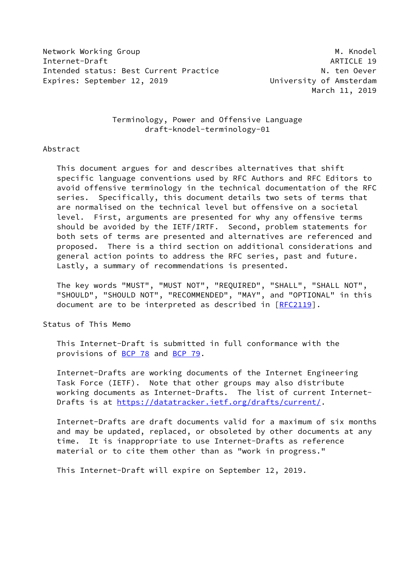Network Working Group **M. Andrew M. Andrew M. Knodel** Internet-Draft ARTICLE 19 Intended status: Best Current Practice Allen M. ten Oever Expires: September 12, 2019 University of Amsterdam

March 11, 2019

 Terminology, Power and Offensive Language draft-knodel-terminology-01

## Abstract

 This document argues for and describes alternatives that shift specific language conventions used by RFC Authors and RFC Editors to avoid offensive terminology in the technical documentation of the RFC series. Specifically, this document details two sets of terms that are normalised on the technical level but offensive on a societal level. First, arguments are presented for why any offensive terms should be avoided by the IETF/IRTF. Second, problem statements for both sets of terms are presented and alternatives are referenced and proposed. There is a third section on additional considerations and general action points to address the RFC series, past and future. Lastly, a summary of recommendations is presented.

 The key words "MUST", "MUST NOT", "REQUIRED", "SHALL", "SHALL NOT", "SHOULD", "SHOULD NOT", "RECOMMENDED", "MAY", and "OPTIONAL" in this document are to be interpreted as described in [\[RFC2119](https://datatracker.ietf.org/doc/pdf/rfc2119)].

Status of This Memo

 This Internet-Draft is submitted in full conformance with the provisions of [BCP 78](https://datatracker.ietf.org/doc/pdf/bcp78) and [BCP 79](https://datatracker.ietf.org/doc/pdf/bcp79).

 Internet-Drafts are working documents of the Internet Engineering Task Force (IETF). Note that other groups may also distribute working documents as Internet-Drafts. The list of current Internet- Drafts is at<https://datatracker.ietf.org/drafts/current/>.

 Internet-Drafts are draft documents valid for a maximum of six months and may be updated, replaced, or obsoleted by other documents at any time. It is inappropriate to use Internet-Drafts as reference material or to cite them other than as "work in progress."

This Internet-Draft will expire on September 12, 2019.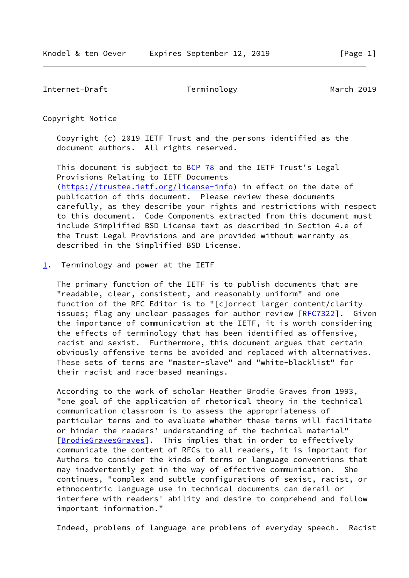Internet-Draft Terminology March 2019

Copyright Notice

 Copyright (c) 2019 IETF Trust and the persons identified as the document authors. All rights reserved.

This document is subject to **[BCP 78](https://datatracker.ietf.org/doc/pdf/bcp78)** and the IETF Trust's Legal Provisions Relating to IETF Documents [\(https://trustee.ietf.org/license-info](https://trustee.ietf.org/license-info)) in effect on the date of publication of this document. Please review these documents carefully, as they describe your rights and restrictions with respect to this document. Code Components extracted from this document must include Simplified BSD License text as described in Section 4.e of the Trust Legal Provisions and are provided without warranty as described in the Simplified BSD License.

<span id="page-1-0"></span>[1](#page-1-0). Terminology and power at the IETF

 The primary function of the IETF is to publish documents that are "readable, clear, consistent, and reasonably uniform" and one function of the RFC Editor is to "[c]orrect larger content/clarity issues; flag any unclear passages for author review [\[RFC7322](https://datatracker.ietf.org/doc/pdf/rfc7322)]. Given the importance of communication at the IETF, it is worth considering the effects of terminology that has been identified as offensive, racist and sexist. Furthermore, this document argues that certain obviously offensive terms be avoided and replaced with alternatives. These sets of terms are "master-slave" and "white-blacklist" for their racist and race-based meanings.

 According to the work of scholar Heather Brodie Graves from 1993, "one goal of the application of rhetorical theory in the technical communication classroom is to assess the appropriateness of particular terms and to evaluate whether these terms will facilitate or hinder the readers' understanding of the technical material" [\[BrodieGravesGraves\]](#page-8-0). This implies that in order to effectively communicate the content of RFCs to all readers, it is important for Authors to consider the kinds of terms or language conventions that may inadvertently get in the way of effective communication. She continues, "complex and subtle configurations of sexist, racist, or ethnocentric language use in technical documents can derail or interfere with readers' ability and desire to comprehend and follow important information."

Indeed, problems of language are problems of everyday speech. Racist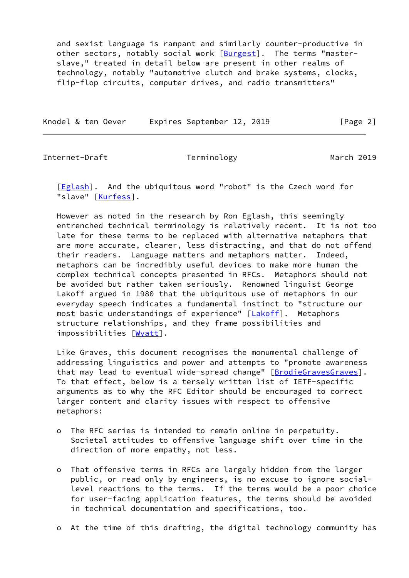and sexist language is rampant and similarly counter-productive in other sectors, notably social work [[Burgest\]](#page-8-1). The terms "master slave," treated in detail below are present in other realms of technology, notably "automotive clutch and brake systems, clocks, flip-flop circuits, computer drives, and radio transmitters"

Knodel & ten Oever Expires September 12, 2019 [Page 2]

Internet-Draft Terminology March 2019

[\[Eglash](#page-9-0)]. And the ubiquitous word "robot" is the Czech word for "slave" [\[Kurfess](#page-9-1)].

 However as noted in the research by Ron Eglash, this seemingly entrenched technical terminology is relatively recent. It is not too late for these terms to be replaced with alternative metaphors that are more accurate, clearer, less distracting, and that do not offend their readers. Language matters and metaphors matter. Indeed, metaphors can be incredibly useful devices to make more human the complex technical concepts presented in RFCs. Metaphors should not be avoided but rather taken seriously. Renowned linguist George Lakoff argued in 1980 that the ubiquitous use of metaphors in our everyday speech indicates a fundamental instinct to "structure our most basic understandings of experience" [\[Lakoff](#page-9-2)]. Metaphors structure relationships, and they frame possibilities and impossibilities [\[Wyatt](#page-10-0)].

 Like Graves, this document recognises the monumental challenge of addressing linguistics and power and attempts to "promote awareness that may lead to eventual wide-spread change" [[BrodieGravesGraves\]](#page-8-0). To that effect, below is a tersely written list of IETF-specific arguments as to why the RFC Editor should be encouraged to correct larger content and clarity issues with respect to offensive metaphors:

- o The RFC series is intended to remain online in perpetuity. Societal attitudes to offensive language shift over time in the direction of more empathy, not less.
- o That offensive terms in RFCs are largely hidden from the larger public, or read only by engineers, is no excuse to ignore social level reactions to the terms. If the terms would be a poor choice for user-facing application features, the terms should be avoided in technical documentation and specifications, too.
- o At the time of this drafting, the digital technology community has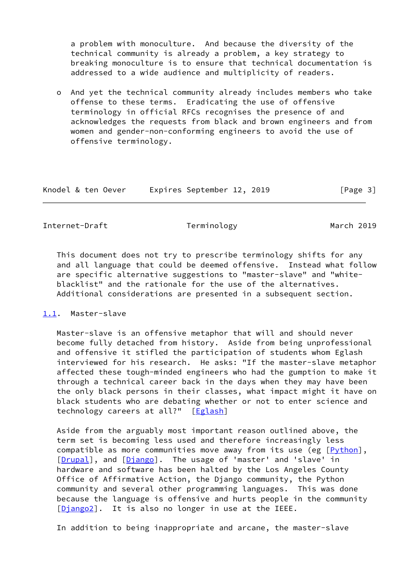a problem with monoculture. And because the diversity of the technical community is already a problem, a key strategy to breaking monoculture is to ensure that technical documentation is addressed to a wide audience and multiplicity of readers.

 o And yet the technical community already includes members who take offense to these terms. Eradicating the use of offensive terminology in official RFCs recognises the presence of and acknowledges the requests from black and brown engineers and from women and gender-non-conforming engineers to avoid the use of offensive terminology.

| Knodel & ten Oever | Expires September 12, 2019 |  | [Page 3] |
|--------------------|----------------------------|--|----------|
|--------------------|----------------------------|--|----------|

Internet-Draft Terminology March 2019

 This document does not try to prescribe terminology shifts for any and all language that could be deemed offensive. Instead what follow are specific alternative suggestions to "master-slave" and "white blacklist" and the rationale for the use of the alternatives. Additional considerations are presented in a subsequent section.

# <span id="page-3-0"></span>[1.1](#page-3-0). Master-slave

 Master-slave is an offensive metaphor that will and should never become fully detached from history. Aside from being unprofessional and offensive it stifled the participation of students whom Eglash interviewed for his research. He asks: "If the master-slave metaphor affected these tough-minded engineers who had the gumption to make it through a technical career back in the days when they may have been the only black persons in their classes, what impact might it have on black students who are debating whether or not to enter science and technology careers at all?" [\[Eglash](#page-9-0)]

 Aside from the arguably most important reason outlined above, the term set is becoming less used and therefore increasingly less compatible as more communities move away from its use (eg [[Python](#page-9-3)], [\[Drupal](#page-9-4)], and [[Django](#page-8-2)]. The usage of 'master' and 'slave' in hardware and software has been halted by the Los Angeles County Office of Affirmative Action, the Django community, the Python community and several other programming languages. This was done because the language is offensive and hurts people in the community [Diango2]. It is also no longer in use at the IEEE.

In addition to being inappropriate and arcane, the master-slave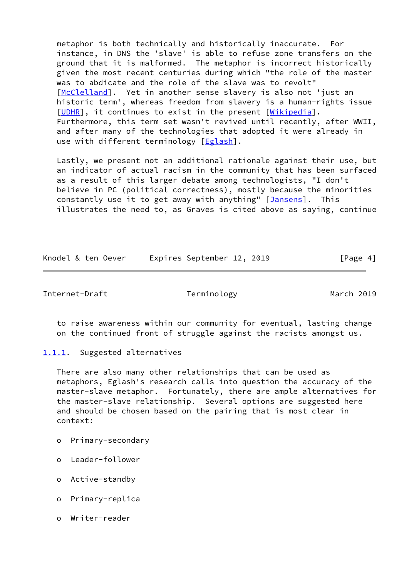metaphor is both technically and historically inaccurate. For instance, in DNS the 'slave' is able to refuse zone transfers on the ground that it is malformed. The metaphor is incorrect historically given the most recent centuries during which "the role of the master was to abdicate and the role of the slave was to revolt" [\[McClelland\]](#page-9-6). Yet in another sense slavery is also not 'just an historic term', whereas freedom from slavery is a human-rights issue [\[UDHR](#page-10-1)], it continues to exist in the present [\[Wikipedia\]](#page-10-2). Furthermore, this term set wasn't revived until recently, after WWII, and after many of the technologies that adopted it were already in use with different terminology [\[Eglash](#page-9-0)].

 Lastly, we present not an additional rationale against their use, but an indicator of actual racism in the community that has been surfaced as a result of this larger debate among technologists, "I don't believe in PC (political correctness), mostly because the minorities constantly use it to get away with anything" [\[Jansens](#page-9-7)]. This illustrates the need to, as Graves is cited above as saying, continue

Knodel & ten Oever Expires September 12, 2019 [Page 4]

Internet-Draft Terminology March 2019

 to raise awareness within our community for eventual, lasting change on the continued front of struggle against the racists amongst us.

<span id="page-4-0"></span>[1.1.1](#page-4-0). Suggested alternatives

 There are also many other relationships that can be used as metaphors, Eglash's research calls into question the accuracy of the master-slave metaphor. Fortunately, there are ample alternatives for the master-slave relationship. Several options are suggested here and should be chosen based on the pairing that is most clear in context:

- o Primary-secondary
- o Leader-follower
- o Active-standby
- o Primary-replica
- o Writer-reader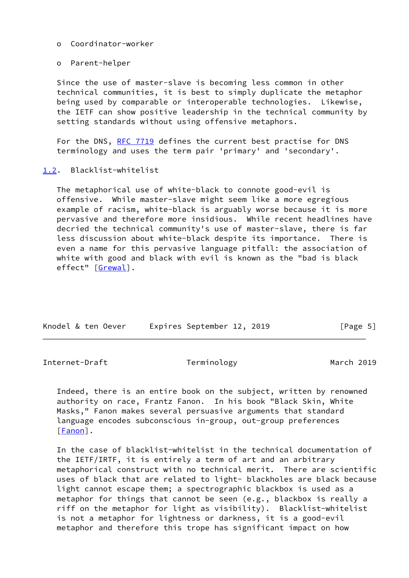## o Coordinator-worker

#### o Parent-helper

 Since the use of master-slave is becoming less common in other technical communities, it is best to simply duplicate the metaphor being used by comparable or interoperable technologies. Likewise, the IETF can show positive leadership in the technical community by setting standards without using offensive metaphors.

For the DNS, [RFC 7719](https://datatracker.ietf.org/doc/pdf/rfc7719) defines the current best practise for DNS terminology and uses the term pair 'primary' and 'secondary'.

# <span id="page-5-0"></span>[1.2](#page-5-0). Blacklist-whitelist

 The metaphorical use of white-black to connote good-evil is offensive. While master-slave might seem like a more egregious example of racism, white-black is arguably worse because it is more pervasive and therefore more insidious. While recent headlines have decried the technical community's use of master-slave, there is far less discussion about white-black despite its importance. There is even a name for this pervasive language pitfall: the association of white with good and black with evil is known as the "bad is black effect" [\[Grewal](#page-9-8)].

| Knodel & ten Oever |  |  | Expires September 12, 2019 |  | [Page 5] |  |
|--------------------|--|--|----------------------------|--|----------|--|

Internet-Draft Terminology March 2019

 Indeed, there is an entire book on the subject, written by renowned authority on race, Frantz Fanon. In his book "Black Skin, White Masks," Fanon makes several persuasive arguments that standard language encodes subconscious in-group, out-group preferences [\[Fanon](#page-9-9)].

 In the case of blacklist-whitelist in the technical documentation of the IETF/IRTF, it is entirely a term of art and an arbitrary metaphorical construct with no technical merit. There are scientific uses of black that are related to light- blackholes are black because light cannot escape them; a spectrographic blackbox is used as a metaphor for things that cannot be seen (e.g., blackbox is really a riff on the metaphor for light as visibility). Blacklist-whitelist is not a metaphor for lightness or darkness, it is a good-evil metaphor and therefore this trope has significant impact on how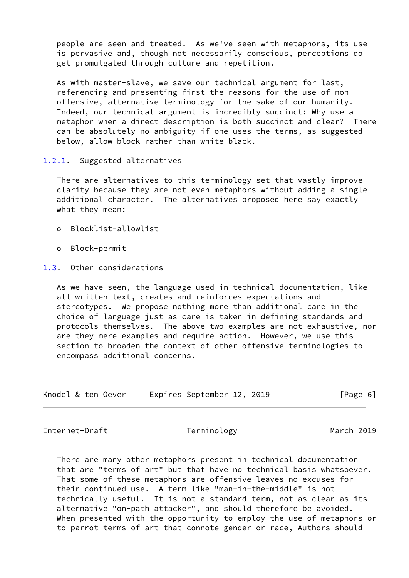people are seen and treated. As we've seen with metaphors, its use is pervasive and, though not necessarily conscious, perceptions do get promulgated through culture and repetition.

 As with master-slave, we save our technical argument for last, referencing and presenting first the reasons for the use of non offensive, alternative terminology for the sake of our humanity. Indeed, our technical argument is incredibly succinct: Why use a metaphor when a direct description is both succinct and clear? There can be absolutely no ambiguity if one uses the terms, as suggested below, allow-block rather than white-black.

## <span id="page-6-0"></span>[1.2.1](#page-6-0). Suggested alternatives

 There are alternatives to this terminology set that vastly improve clarity because they are not even metaphors without adding a single additional character. The alternatives proposed here say exactly what they mean:

- o Blocklist-allowlist
- o Block-permit
- <span id="page-6-1"></span>[1.3](#page-6-1). Other considerations

 As we have seen, the language used in technical documentation, like all written text, creates and reinforces expectations and stereotypes. We propose nothing more than additional care in the choice of language just as care is taken in defining standards and protocols themselves. The above two examples are not exhaustive, nor are they mere examples and require action. However, we use this section to broaden the context of other offensive terminologies to encompass additional concerns.

| Knodel & ten Oever | Expires September 12, 2019 | [Page 6] |
|--------------------|----------------------------|----------|
|--------------------|----------------------------|----------|

Internet-Draft Terminology March 2019

 There are many other metaphors present in technical documentation that are "terms of art" but that have no technical basis whatsoever. That some of these metaphors are offensive leaves no excuses for their continued use. A term like "man-in-the-middle" is not technically useful. It is not a standard term, not as clear as its alternative "on-path attacker", and should therefore be avoided. When presented with the opportunity to employ the use of metaphors or to parrot terms of art that connote gender or race, Authors should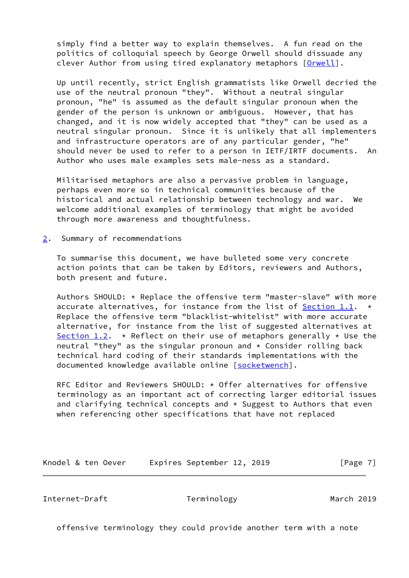simply find a better way to explain themselves. A fun read on the politics of colloquial speech by George Orwell should dissuade any clever Author from using tired explanatory metaphors [\[Orwell](#page-9-10)].

 Up until recently, strict English grammatists like Orwell decried the use of the neutral pronoun "they". Without a neutral singular pronoun, "he" is assumed as the default singular pronoun when the gender of the person is unknown or ambiguous. However, that has changed, and it is now widely accepted that "they" can be used as a neutral singular pronoun. Since it is unlikely that all implementers and infrastructure operators are of any particular gender, "he" should never be used to refer to a person in IETF/IRTF documents. An Author who uses male examples sets male-ness as a standard.

 Militarised metaphors are also a pervasive problem in language, perhaps even more so in technical communities because of the historical and actual relationship between technology and war. We welcome additional examples of terminology that might be avoided through more awareness and thoughtfulness.

<span id="page-7-0"></span>[2](#page-7-0). Summary of recommendations

 To summarise this document, we have bulleted some very concrete action points that can be taken by Editors, reviewers and Authors, both present and future.

 Authors SHOULD: \* Replace the offensive term "master-slave" with more accurate alternatives, for instance from the list of **Section 1.1.**  $\star$  Replace the offensive term "blacklist-whitelist" with more accurate alternative, for instance from the list of suggested alternatives at [Section 1.2](#page-5-0).  $\star$  Reflect on their use of metaphors generally  $\star$  Use the neutral "they" as the singular pronoun and  $*$  Consider rolling back technical hard coding of their standards implementations with the documented knowledge available online [[socketwench](#page-10-3)].

 RFC Editor and Reviewers SHOULD: \* Offer alternatives for offensive terminology as an important act of correcting larger editorial issues and clarifying technical concepts and  $*$  Suggest to Authors that even when referencing other specifications that have not replaced

Knodel & ten Oever Expires September 12, 2019 [Page 7]

Internet-Draft Terminology March 2019

offensive terminology they could provide another term with a note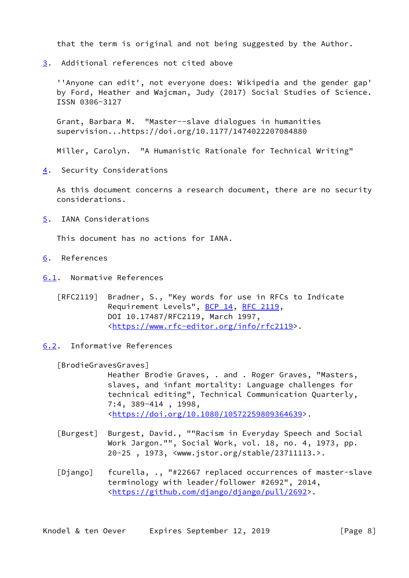that the term is original and not being suggested by the Author.

<span id="page-8-3"></span>[3](#page-8-3). Additional references not cited above

 ''Anyone can edit', not everyone does: Wikipedia and the gender gap' by Ford, Heather and Wajcman, Judy (2017) Social Studies of Science. ISSN 0306-3127

 Grant, Barbara M. "Master--slave dialogues in humanities supervision...https://doi.org/10.1177/1474022207084880

Miller, Carolyn. "A Humanistic Rationale for Technical Writing"

<span id="page-8-4"></span>[4](#page-8-4). Security Considerations

 As this document concerns a research document, there are no security considerations.

<span id="page-8-5"></span>[5](#page-8-5). IANA Considerations

This document has no actions for IANA.

- <span id="page-8-6"></span>[6](#page-8-6). References
- <span id="page-8-7"></span>[6.1](#page-8-7). Normative References
	- [RFC2119] Bradner, S., "Key words for use in RFCs to Indicate Requirement Levels", [BCP 14](https://datatracker.ietf.org/doc/pdf/bcp14), [RFC 2119](https://datatracker.ietf.org/doc/pdf/rfc2119), DOI 10.17487/RFC2119, March 1997, <[https://www.rfc-editor.org/info/rfc2119>](https://www.rfc-editor.org/info/rfc2119).
- <span id="page-8-8"></span>[6.2](#page-8-8). Informative References

<span id="page-8-0"></span>[BrodieGravesGraves]

 Heather Brodie Graves, . and . Roger Graves, "Masters, slaves, and infant mortality: Language challenges for technical editing", Technical Communication Quarterly, 7:4, 389-414 , 1998, <[https://doi.org/10.1080/10572259809364639>](https://doi.org/10.1080/10572259809364639).

- <span id="page-8-1"></span> [Burgest] Burgest, David., ""Racism in Everyday Speech and Social Work Jargon."", Social Work, vol. 18, no. 4, 1973, pp. 20-25 , 1973, <www.jstor.org/stable/23711113.>.
- <span id="page-8-2"></span>[Django] fcurella, ., "#22667 replaced occurrences of master-slave terminology with leader/follower #2692", 2014, <[https://github.com/django/django/pull/2692>](https://github.com/django/django/pull/2692).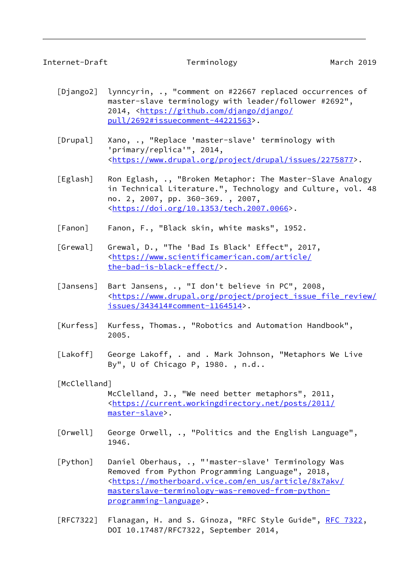## Internet-Draft Terminology March 2019

- <span id="page-9-5"></span> [Django2] lynncyrin, ., "comment on #22667 replaced occurrences of master-slave terminology with leader/follower #2692", 2014, [<https://github.com/django/django/](https://github.com/django/django/pull/2692#issuecomment-44221563) [pull/2692#issuecomment-44221563](https://github.com/django/django/pull/2692#issuecomment-44221563)>.
- <span id="page-9-4"></span> [Drupal] Xano, ., "Replace 'master-slave' terminology with 'primary/replica'", 2014, <[https://www.drupal.org/project/drupal/issues/2275877>](https://www.drupal.org/project/drupal/issues/2275877).
- <span id="page-9-0"></span> [Eglash] Ron Eglash, ., "Broken Metaphor: The Master-Slave Analogy in Technical Literature.", Technology and Culture, vol. 48 no. 2, 2007, pp. 360-369. , 2007, <<https://doi.org/10.1353/tech.2007.0066>>.
- <span id="page-9-9"></span>[Fanon] Fanon, F., "Black skin, white masks", 1952.
- <span id="page-9-8"></span> [Grewal] Grewal, D., "The 'Bad Is Black' Effect", 2017, <[https://www.scientificamerican.com/article/](https://www.scientificamerican.com/article/the-bad-is-black-effect/) [the-bad-is-black-effect/>](https://www.scientificamerican.com/article/the-bad-is-black-effect/).
- <span id="page-9-7"></span>[Jansens] Bart Jansens, ., "I don't believe in PC", 2008, <[https://www.drupal.org/project/project\\_issue\\_file\\_review/](https://www.drupal.org/project/project_issue_file_review/issues/343414#comment-1164514) [issues/343414#comment-1164514>](https://www.drupal.org/project/project_issue_file_review/issues/343414#comment-1164514).
- <span id="page-9-1"></span> [Kurfess] Kurfess, Thomas., "Robotics and Automation Handbook", 2005.
- <span id="page-9-2"></span> [Lakoff] George Lakoff, . and . Mark Johnson, "Metaphors We Live By", U of Chicago P, 1980. , n.d..
- <span id="page-9-6"></span>[McClelland]

 McClelland, J., "We need better metaphors", 2011, <[https://current.workingdirectory.net/posts/2011/](https://current.workingdirectory.net/posts/2011/master-slave) [master-slave>](https://current.workingdirectory.net/posts/2011/master-slave).

- <span id="page-9-10"></span> [Orwell] George Orwell, ., "Politics and the English Language", 1946.
- <span id="page-9-3"></span> [Python] Daniel Oberhaus, ., "'master-slave' Terminology Was Removed from Python Programming Language", 2018, <[https://motherboard.vice.com/en\\_us/article/8x7akv/](https://motherboard.vice.com/en_us/article/8x7akv/masterslave-terminology-was-removed-from-python-programming-language) [masterslave-terminology-was-removed-from-python](https://motherboard.vice.com/en_us/article/8x7akv/masterslave-terminology-was-removed-from-python-programming-language) [programming-language>](https://motherboard.vice.com/en_us/article/8x7akv/masterslave-terminology-was-removed-from-python-programming-language).
- [RFC7322] Flanagan, H. and S. Ginoza, "RFC Style Guide", [RFC 7322](https://datatracker.ietf.org/doc/pdf/rfc7322), DOI 10.17487/RFC7322, September 2014,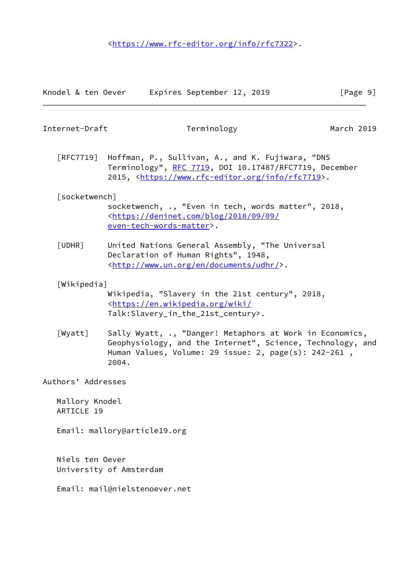| Knodel & ten Oever |  | Expires September 12, 2019 |  | [Page 9] |
|--------------------|--|----------------------------|--|----------|
|                    |  |                            |  |          |

| Internet-Draft |  |  |  |
|----------------|--|--|--|
|----------------|--|--|--|

Terminology March 2019

 [RFC7719] Hoffman, P., Sullivan, A., and K. Fujiwara, "DNS Terminology", [RFC 7719](https://datatracker.ietf.org/doc/pdf/rfc7719), DOI 10.17487/RFC7719, December 2015, [<https://www.rfc-editor.org/info/rfc7719](https://www.rfc-editor.org/info/rfc7719)>.

# <span id="page-10-3"></span>[socketwench]

 socketwench, ., "Even in tech, words matter", 2018, <[https://deninet.com/blog/2018/09/09/](https://deninet.com/blog/2018/09/09/even-tech-words-matter) [even-tech-words-matter](https://deninet.com/blog/2018/09/09/even-tech-words-matter)>.

<span id="page-10-1"></span> [UDHR] United Nations General Assembly, "The Universal Declaration of Human Rights", 1948, <[http://www.un.org/en/documents/udhr/>](http://www.un.org/en/documents/udhr/).

# <span id="page-10-2"></span>[Wikipedia]

 Wikipedia, "Slavery in the 21st century", 2018, <<https://en.wikipedia.org/wiki/> Talk:Slavery\_in\_the\_21st\_century>.

<span id="page-10-0"></span> [Wyatt] Sally Wyatt, ., "Danger! Metaphors at Work in Economics, Geophysiology, and the Internet", Science, Technology, and Human Values, Volume: 29 issue: 2, page(s): 242-261 , 2004.

Authors' Addresses

 Mallory Knodel ARTICLE 19

Email: mallory@article19.org

 Niels ten Oever University of Amsterdam

Email: mail@nielstenoever.net